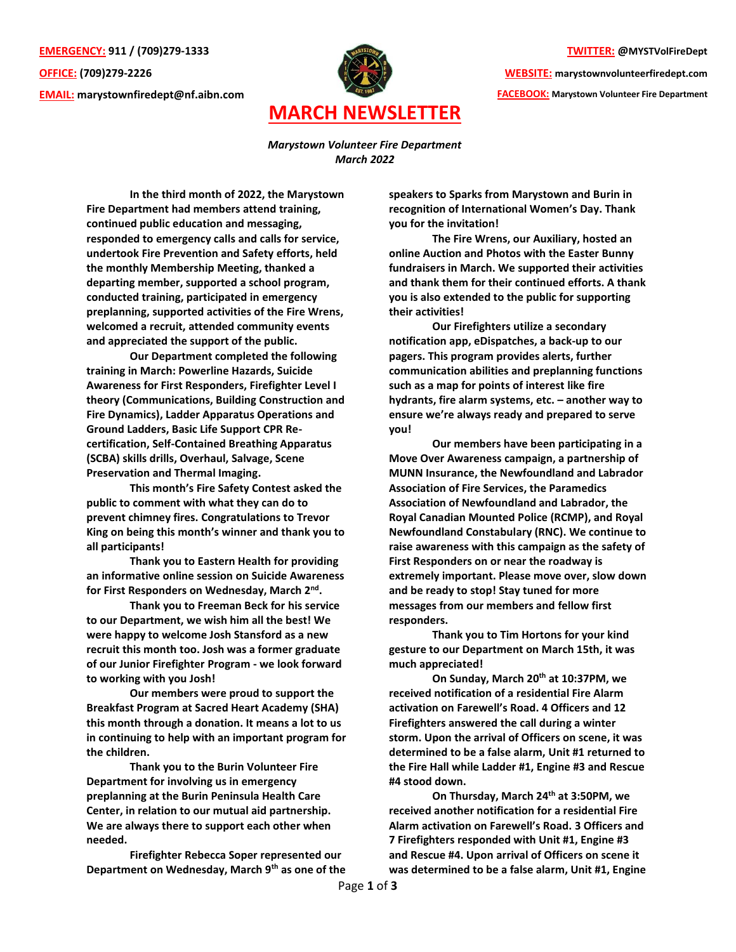**TWITTER: @MYSTVolFireDept**

**WEBSITE: marystownvolunteerfiredept.com FACEBOOK: Marystown Volunteer Fire Department**

**EMERGENCY: 911 / (709)279-1333 OFFICE: (709)279-2226 EMAIL: [marystownfiredept@nf.aibn.com](mailto:marystownfiredept@nf.aibn.com)**



*Marystown Volunteer Fire Department March 2022*

**In the third month of 2022, the Marystown Fire Department had members attend training, continued public education and messaging, responded to emergency calls and calls for service, undertook Fire Prevention and Safety efforts, held the monthly Membership Meeting, thanked a departing member, supported a school program, conducted training, participated in emergency preplanning, supported activities of the Fire Wrens, welcomed a recruit, attended community events and appreciated the support of the public.**

**Our Department completed the following training in March: Powerline Hazards, Suicide Awareness for First Responders, Firefighter Level I theory (Communications, Building Construction and Fire Dynamics), Ladder Apparatus Operations and Ground Ladders, Basic Life Support CPR Recertification, Self-Contained Breathing Apparatus (SCBA) skills drills, Overhaul, Salvage, Scene Preservation and Thermal Imaging.** 

**This month's Fire Safety Contest asked the public to comment with what they can do to prevent chimney fires. Congratulations to Trevor King on being this month's winner and thank you to all participants!**

**Thank you to Eastern Health for providing an informative online session on Suicide Awareness for First Responders on Wednesday, March 2nd .**

**Thank you to Freeman Beck for his service to our Department, we wish him all the best! We were happy to welcome Josh Stansford as a new recruit this month too. Josh was a former graduate of our Junior Firefighter Program - we look forward to working with you Josh!**

**Our members were proud to support the Breakfast Program at Sacred Heart Academy (SHA) this month through a donation. It means a lot to us in continuing to help with an important program for the children.** 

**Thank you to the Burin Volunteer Fire Department for involving us in emergency preplanning at the Burin Peninsula Health Care Center, in relation to our mutual aid partnership. We are always there to support each other when needed.** 

**Firefighter Rebecca Soper represented our Department on Wednesday, March 9th as one of the**  **speakers to Sparks from Marystown and Burin in recognition of International Women's Day. Thank you for the invitation!**

**The Fire Wrens, our Auxiliary, hosted an online Auction and Photos with the Easter Bunny fundraisers in March. We supported their activities and thank them for their continued efforts. A thank you is also extended to the public for supporting their activities!**

**Our Firefighters utilize a secondary notification app, eDispatches, a back-up to our pagers. This program provides alerts, further communication abilities and preplanning functions such as a map for points of interest like fire hydrants, fire alarm systems, etc. – another way to ensure we're always ready and prepared to serve you!**

**Our members have been participating in a Move Over Awareness campaign, a partnership of MUNN Insurance, the Newfoundland and Labrador Association of Fire Services, the Paramedics Association of Newfoundland and Labrador, the Royal Canadian Mounted Police (RCMP), and Royal Newfoundland Constabulary (RNC). We continue to raise awareness with this campaign as the safety of First Responders on or near the roadway is extremely important. Please move over, slow down and be ready to stop! Stay tuned for more messages from our members and fellow first responders.** 

**Thank you to Tim Hortons for your kind gesture to our Department on March 15th, it was much appreciated!**

**On Sunday, March 20th at 10:37PM, we received notification of a residential Fire Alarm activation on Farewell's Road. 4 Officers and 12 Firefighters answered the call during a winter storm. Upon the arrival of Officers on scene, it was determined to be a false alarm, Unit #1 returned to the Fire Hall while Ladder #1, Engine #3 and Rescue #4 stood down.** 

**On Thursday, March 24th at 3:50PM, we received another notification for a residential Fire Alarm activation on Farewell's Road. 3 Officers and 7 Firefighters responded with Unit #1, Engine #3 and Rescue #4. Upon arrival of Officers on scene it was determined to be a false alarm, Unit #1, Engine**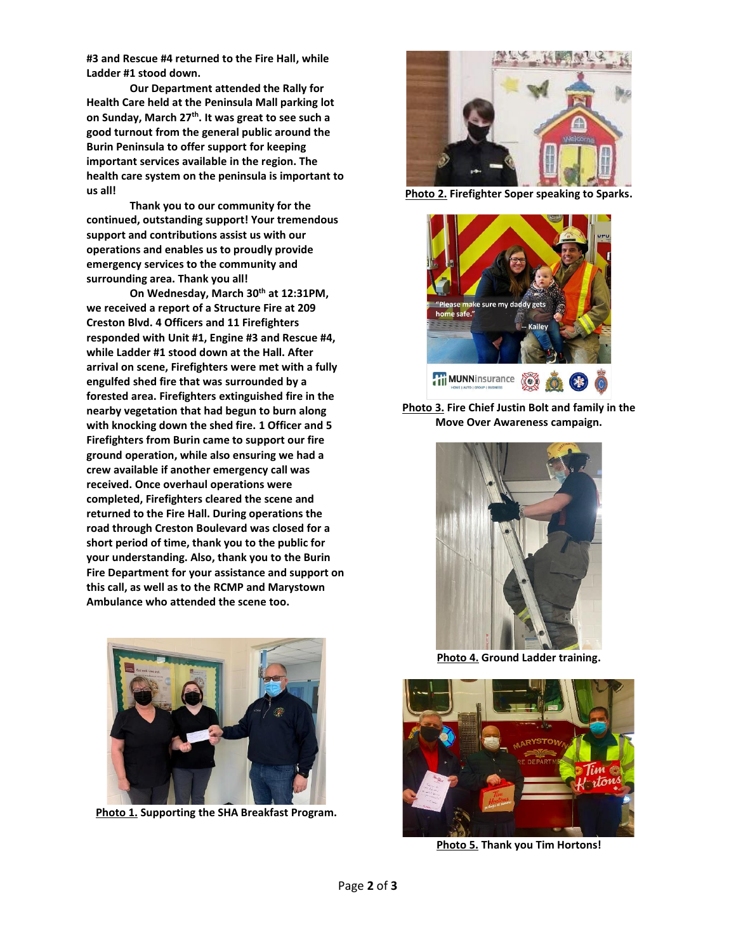**#3 and Rescue #4 returned to the Fire Hall, while Ladder #1 stood down.** 

**Our Department attended the Rally for Health Care held at the Peninsula Mall parking lot on Sunday, March 27th . It was great to see such a good turnout from the general public around the Burin Peninsula to offer support for keeping important services available in the region. The health care system on the peninsula is important to us all!**

**Thank you to our community for the continued, outstanding support! Your tremendous support and contributions assist us with our operations and enables us to proudly provide emergency services to the community and surrounding area. Thank you all!**

**On Wednesday, March 30th at 12:31PM, we received a report of a Structure Fire at 209 Creston Blvd. 4 Officers and 11 Firefighters responded with Unit #1, Engine #3 and Rescue #4, while Ladder #1 stood down at the Hall. After arrival on scene, Firefighters were met with a fully engulfed shed fire that was surrounded by a forested area. Firefighters extinguished fire in the nearby vegetation that had begun to burn along with knocking down the shed fire. 1 Officer and 5 Firefighters from Burin came to support our fire ground operation, while also ensuring we had a crew available if another emergency call was received. Once overhaul operations were completed, Firefighters cleared the scene and returned to the Fire Hall. During operations the road through Creston Boulevard was closed for a short period of time, thank you to the public for your understanding. Also, thank you to the Burin Fire Department for your assistance and support on this call, as well as to the RCMP and Marystown Ambulance who attended the scene too.**



**Photo 1. Supporting the SHA Breakfast Program.**



**Photo 2. Firefighter Soper speaking to Sparks.**



**Photo 3. Fire Chief Justin Bolt and family in the Move Over Awareness campaign.**



**Photo 4. Ground Ladder training.**



**Photo 5. Thank you Tim Hortons!**